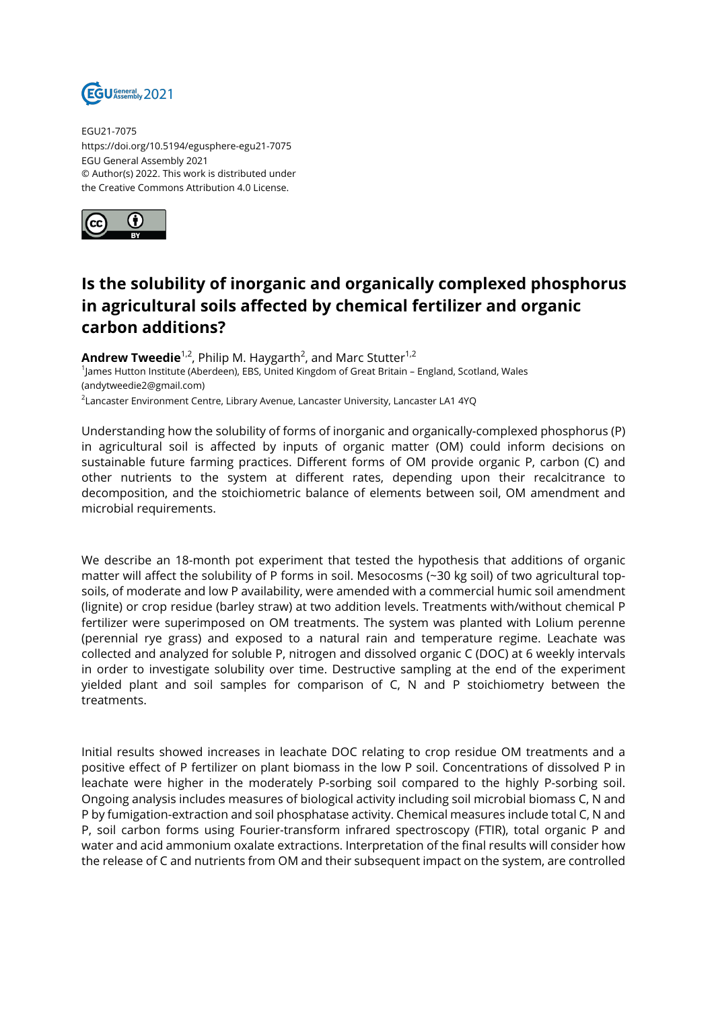

EGU21-7075 https://doi.org/10.5194/egusphere-egu21-7075 EGU General Assembly 2021 © Author(s) 2022. This work is distributed under the Creative Commons Attribution 4.0 License.



## **Is the solubility of inorganic and organically complexed phosphorus in agricultural soils affected by chemical fertilizer and organic carbon additions?**

**Andrew Tweedie**<sup>1,2</sup>, Philip M. Haygarth<sup>2</sup>, and Marc Stutter<sup>1,2</sup> 1 James Hutton Institute (Aberdeen), EBS, United Kingdom of Great Britain – England, Scotland, Wales (andytweedie2@gmail.com)  $^{\rm 2}$ Lancaster Environment Centre, Library Avenue, Lancaster University, Lancaster LA1 4YQ

Understanding how the solubility of forms of inorganic and organically-complexed phosphorus (P) in agricultural soil is affected by inputs of organic matter (OM) could inform decisions on sustainable future farming practices. Different forms of OM provide organic P, carbon (C) and other nutrients to the system at different rates, depending upon their recalcitrance to decomposition, and the stoichiometric balance of elements between soil, OM amendment and microbial requirements.

We describe an 18-month pot experiment that tested the hypothesis that additions of organic matter will affect the solubility of P forms in soil. Mesocosms (~30 kg soil) of two agricultural topsoils, of moderate and low P availability, were amended with a commercial humic soil amendment (lignite) or crop residue (barley straw) at two addition levels. Treatments with/without chemical P fertilizer were superimposed on OM treatments. The system was planted with Lolium perenne (perennial rye grass) and exposed to a natural rain and temperature regime. Leachate was collected and analyzed for soluble P, nitrogen and dissolved organic C (DOC) at 6 weekly intervals in order to investigate solubility over time. Destructive sampling at the end of the experiment yielded plant and soil samples for comparison of C, N and P stoichiometry between the treatments.

Initial results showed increases in leachate DOC relating to crop residue OM treatments and a positive effect of P fertilizer on plant biomass in the low P soil. Concentrations of dissolved P in leachate were higher in the moderately P-sorbing soil compared to the highly P-sorbing soil. Ongoing analysis includes measures of biological activity including soil microbial biomass C, N and P by fumigation-extraction and soil phosphatase activity. Chemical measures include total C, N and P, soil carbon forms using Fourier-transform infrared spectroscopy (FTIR), total organic P and water and acid ammonium oxalate extractions. Interpretation of the final results will consider how the release of C and nutrients from OM and their subsequent impact on the system, are controlled